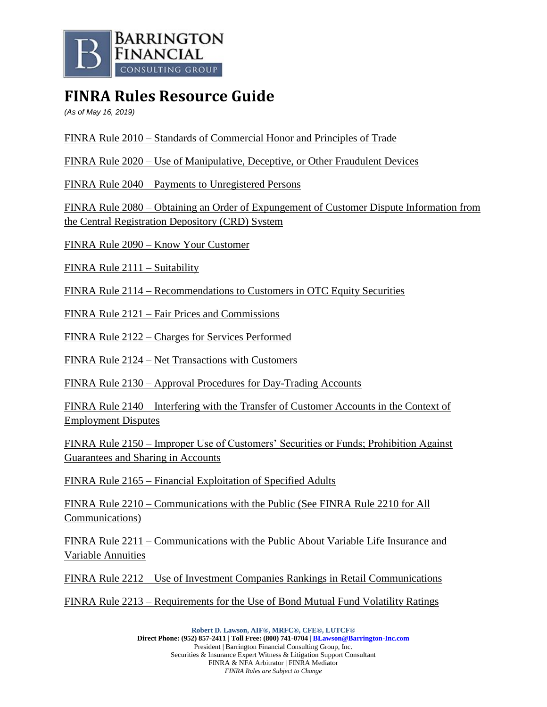

## **FINRA Rules Resource Guide**

*(As of May 16, 2019)*

FINRA Rule 2010 – Standards of Commercial Honor and Principles of Trade

FINRA Rule 2020 – Use of Manipulative, Deceptive, or Other Fraudulent Devices

FINRA Rule 2040 – Payments to Unregistered Persons

FINRA Rule 2080 – Obtaining an Order of Expungement of Customer Dispute Information from the Central Registration Depository (CRD) System

FINRA Rule 2090 – Know Your Customer

FINRA Rule 2111 – Suitability

FINRA Rule 2114 – Recommendations to Customers in OTC Equity Securities

FINRA Rule 2121 – Fair Prices and Commissions

FINRA Rule 2122 – Charges for Services Performed

FINRA Rule 2124 – Net Transactions with Customers

FINRA Rule 2130 – Approval Procedures for Day-Trading Accounts

FINRA Rule 2140 – Interfering with the Transfer of Customer Accounts in the Context of Employment Disputes

FINRA Rule 2150 – Improper Use of Customers' Securities or Funds; Prohibition Against Guarantees and Sharing in Accounts

FINRA Rule 2165 – Financial Exploitation of Specified Adults

FINRA Rule 2210 – Communications with the Public (See FINRA Rule 2210 for All Communications)

FINRA Rule 2211 – Communications with the Public About Variable Life Insurance and Variable Annuities

FINRA Rule 2212 – Use of Investment Companies Rankings in Retail Communications

FINRA Rule 2213 – Requirements for the Use of Bond Mutual Fund Volatility Ratings